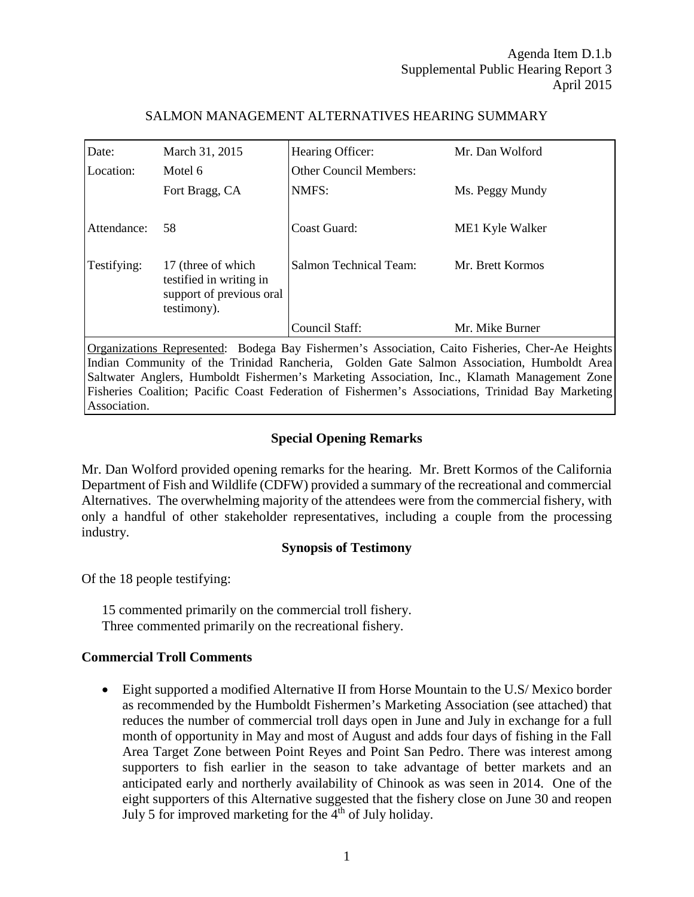| Date:                                                                                           | March 31, 2015                                                                           | Hearing Officer:              | Mr. Dan Wolford  |  |  |
|-------------------------------------------------------------------------------------------------|------------------------------------------------------------------------------------------|-------------------------------|------------------|--|--|
| Location:                                                                                       | Motel 6                                                                                  | <b>Other Council Members:</b> |                  |  |  |
|                                                                                                 | Fort Bragg, CA                                                                           | NMFS:                         | Ms. Peggy Mundy  |  |  |
| Attendance:                                                                                     | 58                                                                                       | Coast Guard:                  | ME1 Kyle Walker  |  |  |
| Testifying:                                                                                     | 17 (three of which<br>testified in writing in<br>support of previous oral<br>testimony). | <b>Salmon Technical Team:</b> | Mr. Brett Kormos |  |  |
|                                                                                                 |                                                                                          | Council Staff:                | Mr. Mike Burner  |  |  |
| Organizations Represented: Bodega Bay Fishermen's Association, Caito Fisheries, Cher-Ae Heights |                                                                                          |                               |                  |  |  |

#### SALMON MANAGEMENT ALTERNATIVES HEARING SUMMARY

Organizations Represented: Bodega Bay Fishermen's Association, Caito Fisheries, Cher-Ae Heights Indian Community of the Trinidad Rancheria, Golden Gate Salmon Association, Humboldt Area Saltwater Anglers, Humboldt Fishermen's Marketing Association, Inc., Klamath Management Zone Fisheries Coalition; Pacific Coast Federation of Fishermen's Associations, Trinidad Bay Marketing Association.

## **Special Opening Remarks**

Mr. Dan Wolford provided opening remarks for the hearing. Mr. Brett Kormos of the California Department of Fish and Wildlife (CDFW) provided a summary of the recreational and commercial Alternatives. The overwhelming majority of the attendees were from the commercial fishery, with only a handful of other stakeholder representatives, including a couple from the processing industry.

#### **Synopsis of Testimony**

Of the 18 people testifying:

15 commented primarily on the commercial troll fishery. Three commented primarily on the recreational fishery.

## **Commercial Troll Comments**

• Eight supported a modified Alternative II from Horse Mountain to the U.S/ Mexico border as recommended by the Humboldt Fishermen's Marketing Association (see attached) that reduces the number of commercial troll days open in June and July in exchange for a full month of opportunity in May and most of August and adds four days of fishing in the Fall Area Target Zone between Point Reyes and Point San Pedro. There was interest among supporters to fish earlier in the season to take advantage of better markets and an anticipated early and northerly availability of Chinook as was seen in 2014. One of the eight supporters of this Alternative suggested that the fishery close on June 30 and reopen July 5 for improved marketing for the 4<sup>th</sup> of July holiday.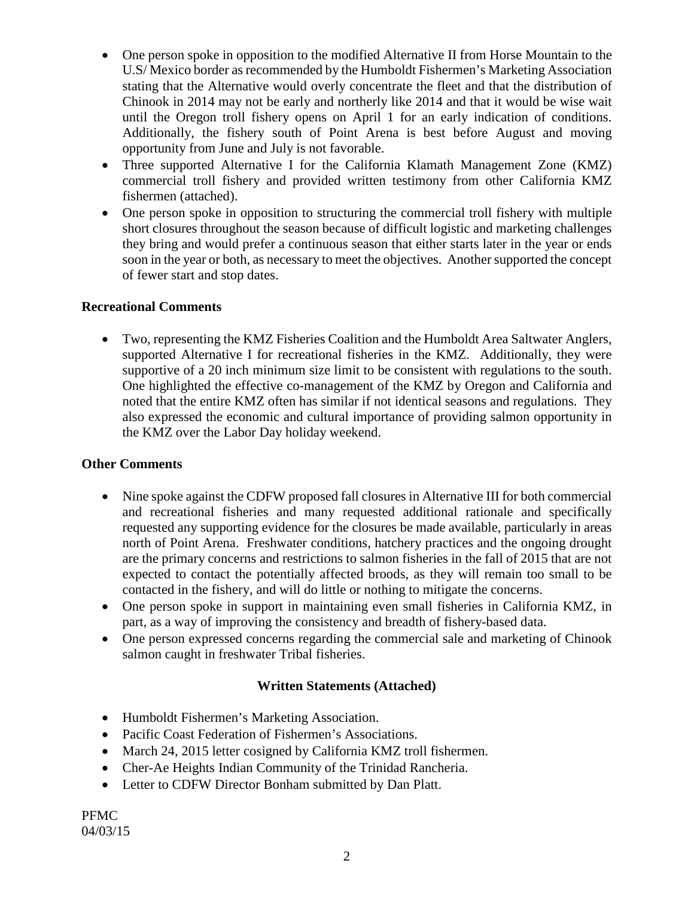- One person spoke in opposition to the modified Alternative II from Horse Mountain to the U.S/ Mexico border as recommended by the Humboldt Fishermen's Marketing Association stating that the Alternative would overly concentrate the fleet and that the distribution of Chinook in 2014 may not be early and northerly like 2014 and that it would be wise wait until the Oregon troll fishery opens on April 1 for an early indication of conditions. Additionally, the fishery south of Point Arena is best before August and moving opportunity from June and July is not favorable.
- Three supported Alternative I for the California Klamath Management Zone (KMZ) commercial troll fishery and provided written testimony from other California KMZ fishermen (attached).
- One person spoke in opposition to structuring the commercial troll fishery with multiple short closures throughout the season because of difficult logistic and marketing challenges they bring and would prefer a continuous season that either starts later in the year or ends soon in the year or both, as necessary to meet the objectives. Another supported the concept of fewer start and stop dates.

## **Recreational Comments**

• Two, representing the KMZ Fisheries Coalition and the Humboldt Area Saltwater Anglers, supported Alternative I for recreational fisheries in the KMZ. Additionally, they were supportive of a 20 inch minimum size limit to be consistent with regulations to the south. One highlighted the effective co-management of the KMZ by Oregon and California and noted that the entire KMZ often has similar if not identical seasons and regulations. They also expressed the economic and cultural importance of providing salmon opportunity in the KMZ over the Labor Day holiday weekend.

#### **Other Comments**

- Nine spoke against the CDFW proposed fall closures in Alternative III for both commercial and recreational fisheries and many requested additional rationale and specifically requested any supporting evidence for the closures be made available, particularly in areas north of Point Arena. Freshwater conditions, hatchery practices and the ongoing drought are the primary concerns and restrictions to salmon fisheries in the fall of 2015 that are not expected to contact the potentially affected broods, as they will remain too small to be contacted in the fishery, and will do little or nothing to mitigate the concerns.
- One person spoke in support in maintaining even small fisheries in California KMZ, in part, as a way of improving the consistency and breadth of fishery-based data.
- One person expressed concerns regarding the commercial sale and marketing of Chinook salmon caught in freshwater Tribal fisheries.

## **Written Statements (Attached)**

- Humboldt Fishermen's Marketing Association.
- Pacific Coast Federation of Fishermen's Associations.
- March 24, 2015 letter cosigned by California KMZ troll fishermen.
- Cher-Ae Heights Indian Community of the Trinidad Rancheria.
- Letter to CDFW Director Bonham submitted by Dan Platt.

PFMC 04/03/15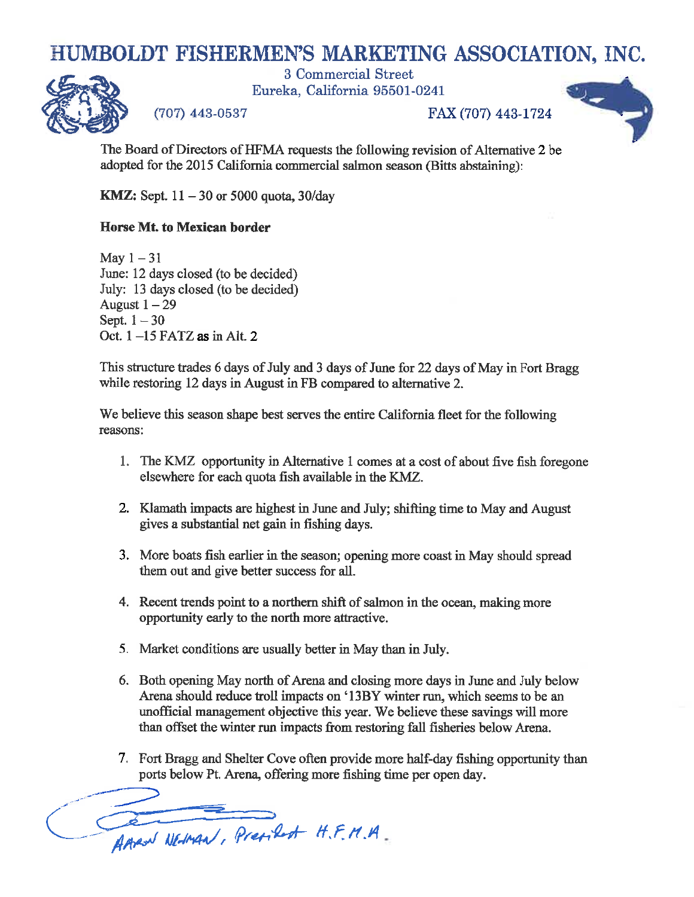# HUMBOLDT FISHERMEN'S MARKETING ASSOCIATION, INC.



3 Commercial Street Eureka, California 95501-0241

 $(707)$  443-0537

FAX (707) 443-1724



The Board of Directors of HFMA requests the following revision of Alternative 2 be adopted for the 2015 California commercial salmon season (Bitts abstaining):

**KMZ:** Sept.  $11 - 30$  or 5000 quota, 30/day

## Horse Mt. to Mexican border

May  $1-31$ June: 12 days closed (to be decided) July: 13 days closed (to be decided) August  $1 - 29$ Sept.  $1-30$ Oct.  $1 - 15$  FATZ as in Alt. 2

This structure trades 6 days of July and 3 days of June for 22 days of May in Fort Bragg while restoring 12 days in August in FB compared to alternative 2.

We believe this season shape best serves the entire California fleet for the following reasons:

- 1. The KMZ opportunity in Alternative 1 comes at a cost of about five fish foregone elsewhere for each quota fish available in the KMZ.
- 2. Klamath impacts are highest in June and July; shifting time to May and August gives a substantial net gain in fishing days.
- 3. More boats fish earlier in the season; opening more coast in May should spread them out and give better success for all.
- 4. Recent trends point to a northern shift of salmon in the ocean, making more opportunity early to the north more attractive.
- 5. Market conditions are usually better in May than in July.
- 6. Both opening May north of Arena and closing more days in June and July below Arena should reduce troll impacts on '13BY winter run, which seems to be an unofficial management objective this year. We believe these savings will more than offset the winter run impacts from restoring fall fisheries below Arena.
- 7. Fort Bragg and Shelter Cove often provide more half-day fishing opportunity than ports below Pt. Arena, offering more fishing time per open day.

Appear NE-MAN, President H.F.M.A.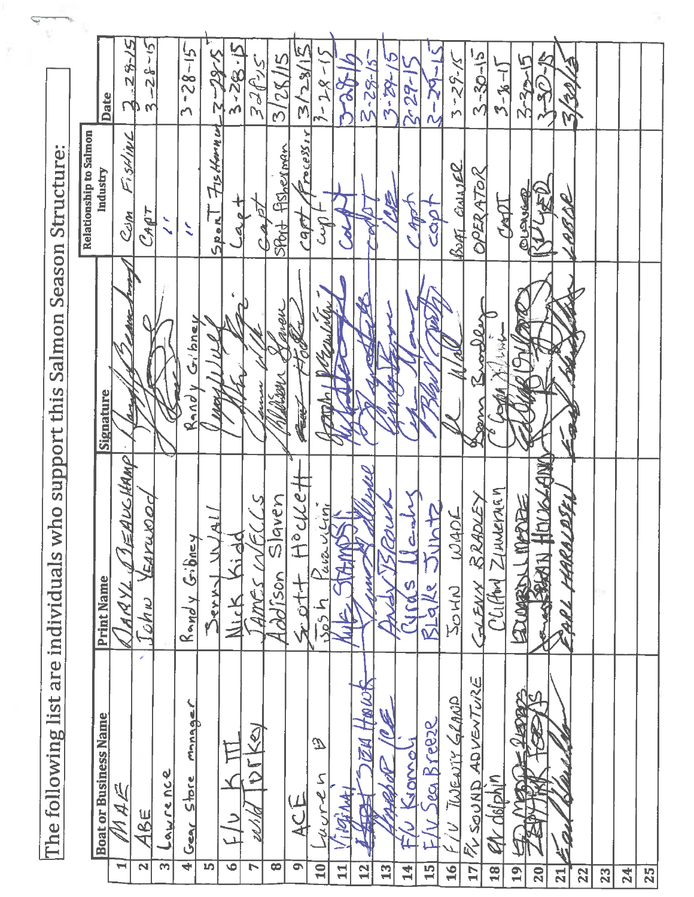|                       | The following list are individuals          |                                   | who support this Salmon Season Structure: |                               |                                     |
|-----------------------|---------------------------------------------|-----------------------------------|-------------------------------------------|-------------------------------|-------------------------------------|
|                       |                                             |                                   |                                           | <b>Relationship to Salmon</b> |                                     |
|                       | <b>Boat or Business Name</b>                | <b>Print Name</b>                 | <b>Signature</b>                          | Industry                      | <b>Date</b>                         |
| $\blacktriangleright$ | MAE                                         | <u>JEAUCHAMP</u><br><b>ARY</b>    |                                           | Fishine<br>Ceim               | スタ                                  |
| $\mathbf{\mathbf{N}}$ | $\overline{485}$                            | LEAVULOC<br><u>John</u>           |                                           | $C_{AB}T$                     | りゅう<br>$\mathbf{N}$                 |
| m                     | Lawrence                                    |                                   |                                           | $\tilde{\phantom{a}}$         |                                     |
| ₹                     | Monager<br>Gear Store                       | Rondy Gibney                      | Gibne<br>Randy                            | $\tilde{\mathbf{v}}$          | $-58 - 15$<br>M                     |
| 1Ŋ                    |                                             | न<br>र<br>TTTT<br>Berky           | 1.42                                      | Fis Hornu<br>SROKI            | $-29 - 5$                           |
| $\overline{\bullet}$  | $\overline{z}$<br>لم                        | Aidd<br><b>Nick</b>               |                                           | ٣                             | $3 - 28 - 5$                        |
| N                     | DIKO<br><u>22/1/d</u>                       | Ś<br>AMES                         |                                           |                               | 32f/25                              |
| $\infty$              |                                             | aven<br>$\sqrt{a}$<br>Addison     | Udspy                                     | <u>SPort fishexman</u>        | 3/28/15                             |
| $\bullet$             | ACE                                         | Hocke-<br><b>HOSE</b>             | <b>REAL</b>                               | <b>Processir</b><br>CART      | 3/2/5                               |
| $10 \mid$             | $\mathcal{D}$<br>こうとう                       | Vavay<br>$\frac{1}{2}$            |                                           | $\mathcal{S}$                 | $3 - 28$                            |
| 11                    | (Milling)                                   | <b>TAMA</b>                       |                                           | ζ                             | <b>JARE</b>                         |
| 12                    | <b>DIEN HOWE</b><br>电导                      |                                   | ý                                         |                               | $5 - 28 - 15$                       |
| 13                    | E.<br>Nogki                                 |                                   |                                           |                               | $3 - 29$                            |
| $\frac{4}{1}$         | Bronco<br>$\mathbf{S}$                      | j<br>j<br>Ø,<br>Cyricas           |                                           | الملك                         | $3 - 29 - 19$                       |
| $\frac{15}{15}$       | <u>W Sea Breeze</u><br>$\hat{\mathbf{\mu}}$ | FSTIN<br>BLake                    |                                           | COP <sub>1</sub>              | $\overline{\mathbf{1}}$<br>$2 - 29$ |
| $\overline{16}$       | U TWENTY GRAND                              | 70907<br>WORD                     |                                           | Boff CLAIDER                  | $3 - 29 - 10$                       |
| 17                    | ADVENTURE<br>AV SOUND                       | BRADLEY<br><b>GIBUN</b>           | acho<br><u>देश</u><br>प्र                 | OPERATOR                      | $3 - 30 - 15$                       |
| $\overline{18}$       | <b>EAL</b> delphin                          | ZINNETARY<br>Cliltoy              | 习头                                        | LANT                          | $3 - 16 - 1$                        |
| $\overline{9}$        | R<br>$\mathcal{L}(1)$<br>ED MEX             | MARTE                             |                                           | <b>GAULER</b><br>õ,           | $3 - 3 - 5$                         |
| 20                    |                                             | <b>LOUGLAND</b><br>HURBERTAY<br>g |                                           | なんと                           | $\mathbb{Z}$<br>EER                 |
| $\overline{11}$       | ł١                                          | HARALDSE)<br>789                  |                                           | $\frac{d}{d}$                 | $\mu$                               |
| $\frac{2}{2}$         |                                             |                                   |                                           |                               |                                     |
| 23                    |                                             |                                   |                                           |                               |                                     |
| $\overline{24}$       |                                             |                                   |                                           |                               |                                     |
| 25                    |                                             |                                   |                                           |                               |                                     |
|                       |                                             |                                   |                                           |                               |                                     |

ž

'n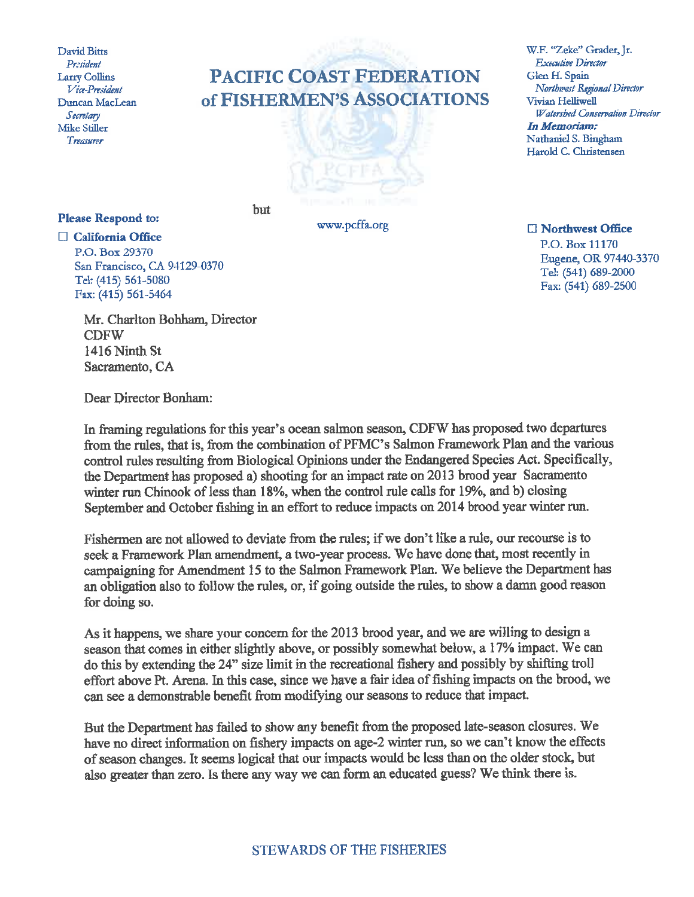David Bitts President **Larry Collins** Vice-President Duncan MacLean Secretary **Mike Stiller** Treasurer

# **PACIFIC COAST FEDERATION** of FISHERMEN'S ASSOCIATIONS



www.pcffa.org

#### Please Respond to: □ California Office

P.O. Box 29370 San Francisco, CA 94129-0370 Tel: (415) 561-5080 Fax: (415) 561-5464

Mr. Charlton Bohham, Director **CDFW** 1416 Ninth St Sacramento, CA

W.F. "Zeke" Grader, Jr. **Executive Director** Glen H. Spain Northwest Regional Director Vivian Helliwell Watershed Conservation Director In Memoriam: Nathaniel S. Bingham Harold C. Christensen

□ Northwest Office P.O. Box 11170 Eugene, OR 97440-3370 Tel: (541) 689-2000 Fax: (541) 689-2500

Dear Director Bonham:

In framing regulations for this year's ocean salmon season, CDFW has proposed two departures from the rules, that is, from the combination of PFMC's Salmon Framework Plan and the various control rules resulting from Biological Opinions under the Endangered Species Act. Specifically, the Department has proposed a) shooting for an impact rate on 2013 brood year Sacramento winter run Chinook of less than 18%, when the control rule calls for 19%, and b) closing September and October fishing in an effort to reduce impacts on 2014 brood year winter run.

Fishermen are not allowed to deviate from the rules; if we don't like a rule, our recourse is to seek a Framework Plan amendment, a two-year process. We have done that, most recently in campaigning for Amendment 15 to the Salmon Framework Plan. We believe the Department has an obligation also to follow the rules, or, if going outside the rules, to show a damn good reason for doing so.

As it happens, we share your concern for the 2013 brood year, and we are willing to design a season that comes in either slightly above, or possibly somewhat below, a 17% impact. We can do this by extending the 24" size limit in the recreational fishery and possibly by shifting troll effort above Pt. Arena. In this case, since we have a fair idea of fishing impacts on the brood, we can see a demonstrable benefit from modifying our seasons to reduce that impact.

But the Department has failed to show any benefit from the proposed late-season closures. We have no direct information on fishery impacts on age-2 winter run, so we can't know the effects of season changes. It seems logical that our impacts would be less than on the older stock, but also greater than zero. Is there any way we can form an educated guess? We think there is.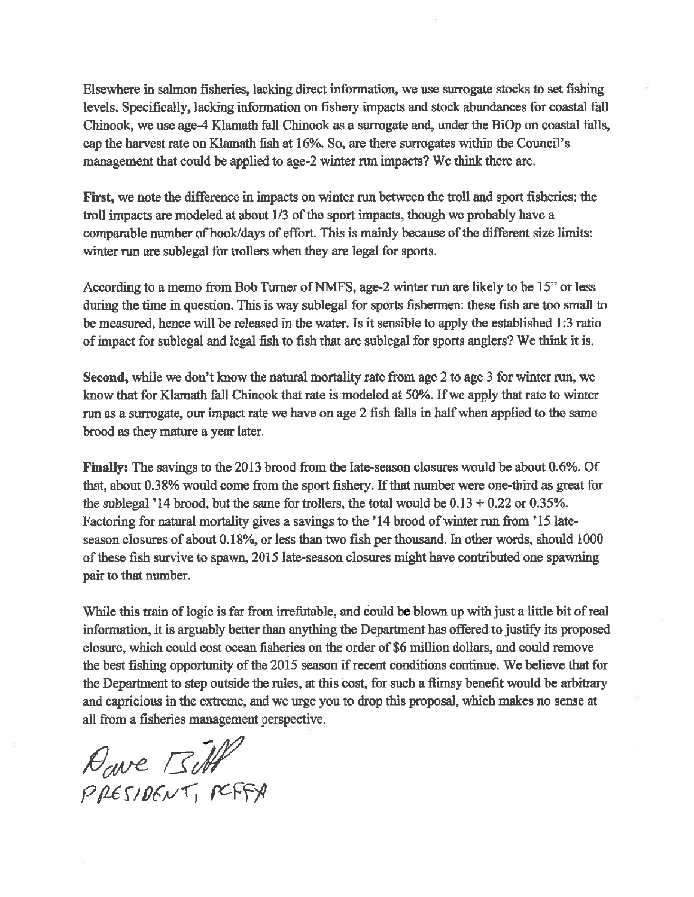Elsewhere in salmon fisheries, lacking direct information, we use surrogate stocks to set fishing levels. Specifically, lacking information on fishery impacts and stock abundances for coastal fall Chinook, we use age-4 Klamath fall Chinook as a surrogate and, under the BiOp on coastal falls, cap the harvest rate on Klamath fish at 16%. So, are there surrogates within the Council's management that could be applied to age-2 winter run impacts? We think there are.

First, we note the difference in impacts on winter run between the troll and sport fisheries: the troll impacts are modeled at about 1/3 of the sport impacts, though we probably have a comparable number of hook/days of effort. This is mainly because of the different size limits: winter run are sublegal for trollers when they are legal for sports.

According to a memo from Bob Turner of NMFS, age-2 winter run are likely to be 15" or less during the time in question. This is way sublegal for sports fishermen: these fish are too small to be measured, hence will be released in the water. Is it sensible to apply the established 1:3 ratio of impact for sublegal and legal fish to fish that are sublegal for sports anglers? We think it is.

**Second,** while we don't know the natural mortality rate from age 2 to age 3 for winter run, we know that for Klamath fall Chinook that rate is modeled at 50%. If we apply that rate to winter run as a surrogate, our impact rate we have on age 2 fish falls in half when applied to the same brood as they mature a year later.

Finally: The savings to the 2013 brood from the late-season closures would be about 0.6%. Of that, about 0.38% would come from the sport fishery. If that number were one-third as great for the sublegal '14 brood, but the same for trollers, the total would be  $0.13 + 0.22$  or  $0.35\%$ . Factoring for natural mortality gives a savings to the '14 brood of winter run from '15 lateseason closures of about 0.18%, or less than two fish per thousand. In other words, should 1000 of these fish survive to spawn, 2015 late-season closures might have contributed one spawning pair to that number.

While this train of logic is far from irrefutable, and could be blown up with just a little bit of real information, it is arguably better than anything the Department has offered to justify its proposed closure, which could cost ocean fisheries on the order of \$6 million dollars, and could remove the best fishing opportunity of the 2015 season if recent conditions continue. We believe that for the Department to step outside the rules, at this cost, for such a flimsy benefit would be arbitrary and capricious in the extreme, and we urge you to drop this proposal, which makes no sense at all from a fisheries management perspective.

Rave Bill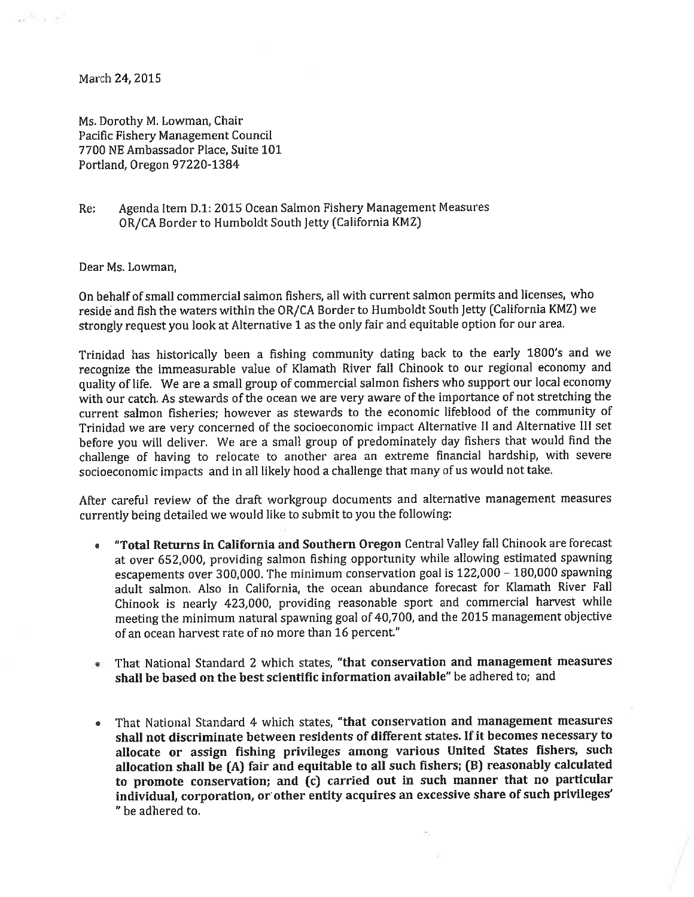March 24, 2015

ar<sup>an</sup>n 197

Ms. Dorothy M. Lowman, Chair Pacific Fishery Management Council 7700 NE Ambassador Place, Suite 101 Portland, Oregon 97220-1384

Agenda Item D.1: 2015 Ocean Salmon Fishery Management Measures Re: OR/CA Border to Humboldt South Jetty (California KMZ)

Dear Ms. Lowman,

On behalf of small commercial salmon fishers, all with current salmon permits and licenses, who reside and fish the waters within the OR/CA Border to Humboldt South Jetty (California KMZ) we strongly request you look at Alternative 1 as the only fair and equitable option for our area.

Trinidad has historically been a fishing community dating back to the early 1800's and we recognize the immeasurable value of Klamath River fall Chinook to our regional economy and quality of life. We are a small group of commercial salmon fishers who support our local economy with our catch. As stewards of the ocean we are very aware of the importance of not stretching the current salmon fisheries; however as stewards to the economic lifeblood of the community of Trinidad we are very concerned of the socioeconomic impact Alternative II and Alternative III set before you will deliver. We are a small group of predominately day fishers that would find the challenge of having to relocate to another area an extreme financial hardship, with severe socioeconomic impacts and in all likely hood a challenge that many of us would not take.

After careful review of the draft workgroup documents and alternative management measures currently being detailed we would like to submit to you the following:

- "Total Returns in California and Southern Oregon Central Valley fall Chinook are forecast  $\bullet$ at over 652,000, providing salmon fishing opportunity while allowing estimated spawning escapements over 300,000. The minimum conservation goal is  $122,000 - 180,000$  spawning adult salmon. Also in California, the ocean abundance forecast for Klamath River Fall Chinook is nearly 423,000, providing reasonable sport and commercial harvest while meeting the minimum natural spawning goal of 40,700, and the 2015 management objective of an ocean harvest rate of no more than 16 percent."
- . That National Standard 2 which states, "that conservation and management measures shall be based on the best scientific information available" be adhered to; and
- That National Standard 4 which states, "that conservation and management measures  $\bullet$ shall not discriminate between residents of different states. If it becomes necessary to allocate or assign fishing privileges among various United States fishers, such allocation shall be (A) fair and equitable to all such fishers; (B) reasonably calculated to promote conservation; and (c) carried out in such manner that no particular individual, corporation, or other entity acquires an excessive share of such privileges' " be adhered to.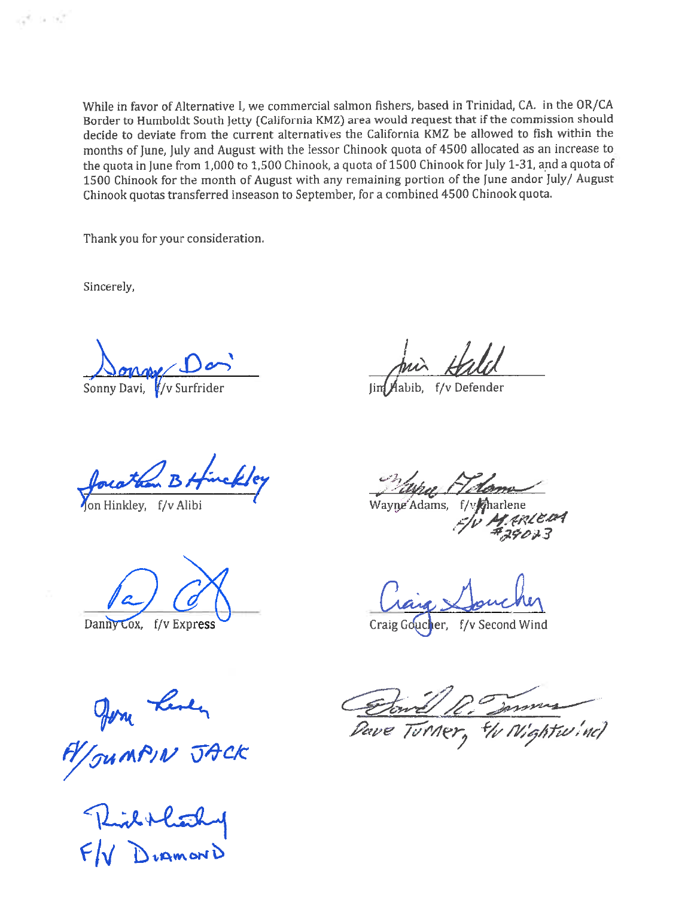While in favor of Alternative I, we commercial salmon fishers, based in Trinidad, CA. in the OR/CA Border to Humboldt South Jetty (California KMZ) area would request that if the commission should decide to deviate from the current alternatives the California KMZ be allowed to fish within the months of June, July and August with the lessor Chinook quota of 4500 allocated as an increase to the quota in June from 1,000 to 1,500 Chinook, a quota of 1500 Chinook for July 1-31, and a quota of 1500 Chinook for the month of August with any remaining portion of the June andor July/ August Chinook quotas transferred inseason to September, for a combined 4500 Chinook quota.

Thank you for your consideration.

Sincerely,

at a st

Sonny Davi.

f/v Defender

on Hinkley. f/v Alibi

Danny Cox, f/v Express

Wayne Adams, f/ymarlene<br>
F/V Marketten

Craig Goucher, f/v Second Wind

Jon Lever<br>Hymmps JACK<br>Flichtlachy<br>FN Diamord

Etowel R. James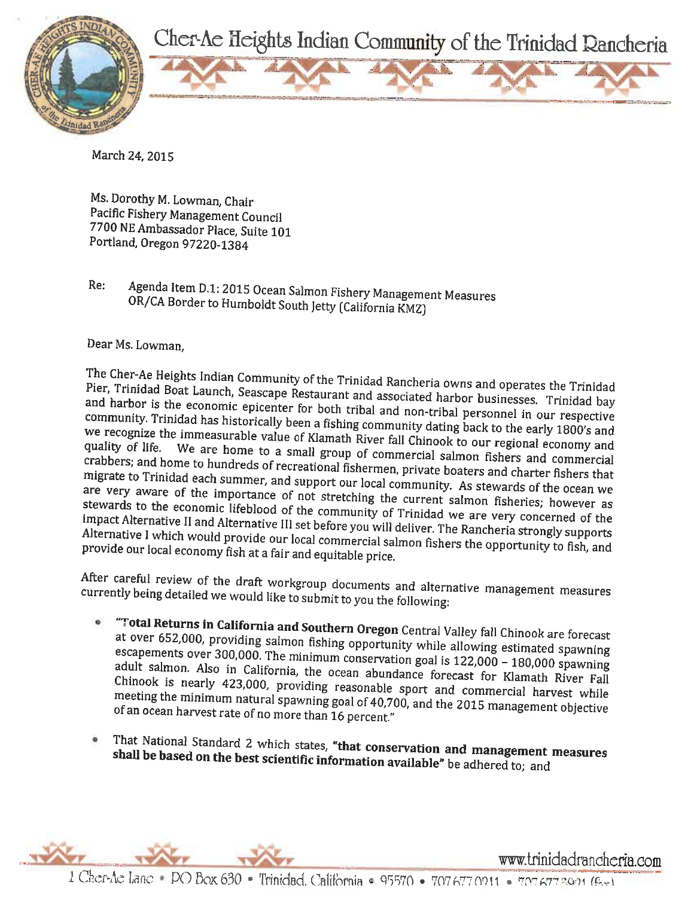Cher-Ae Heights Indian Community of the Trinidad Rancheria



March 24, 2015

Ms. Dorothy M. Lowman, Chair Pacific Fishery Management Council 7700 NE Ambassador Place, Suite 101 Portland, Oregon 97220-1384

Re: Agenda Item D.1: 2015 Ocean Salmon Fishery Management Measures OR/CA Border to Humboldt South Jetty (California KMZ)

Dear Ms. Lowman.

The Cher-Ae Heights Indian Community of the Trinidad Rancheria owns and operates the Trinidad Pier, Trinidad Boat Launch, Seascape Restaurant and associated harbor businesses. Trinidad bay and harbor is the economic epicenter for both tribal and non-tribal personnel in our respective community. Trinidad has historically been a fishing community dating back to the early 1800's and we recognize the immeasurable value of Klamath River fall Chinook to our regional economy and quality of life. We are home to a small group of commercial salmon fishers and commercial crabbers; and home to hundreds of recreational fishermen, private boaters and charter fishers that migrate to Trinidad each summer, and support our local community. As stewards of the ocean we are very aware of the importance of not stretching the current salmon fisheries; however as stewards to the economic lifeblood of the community of Trinidad we are very concerned of the impact Alternative II and Alternative III set before you will deliver. The Rancheria strongly supports Alternative I which would provide our local commercial salmon fishers the opportunity to fish, and provide our local economy fish at a fair and equitable price.

After careful review of the draft workgroup documents and alternative management measures currently being detailed we would like to submit to you the following:

- "Total Returns in California and Southern Oregon Central Valley fall Chinook are forecast at over 652,000, providing salmon fishing opportunity while allowing estimated spawning escapements over 300,000. The minimum conservation goal is  $122,000 - 180,000$  spawning adult salmon. Also in California, the ocean abundance forecast for Klamath River Fall Chinook is nearly 423,000, providing reasonable sport and commercial harvest while meeting the minimum natural spawning goal of 40,700, and the 2015 management objective of an ocean harvest rate of no more than 16 percent."
- That National Standard 2 which states, "that conservation and management measures shall be based on the best scientific information available" be adhered to; and

www.trinidadrancheria.com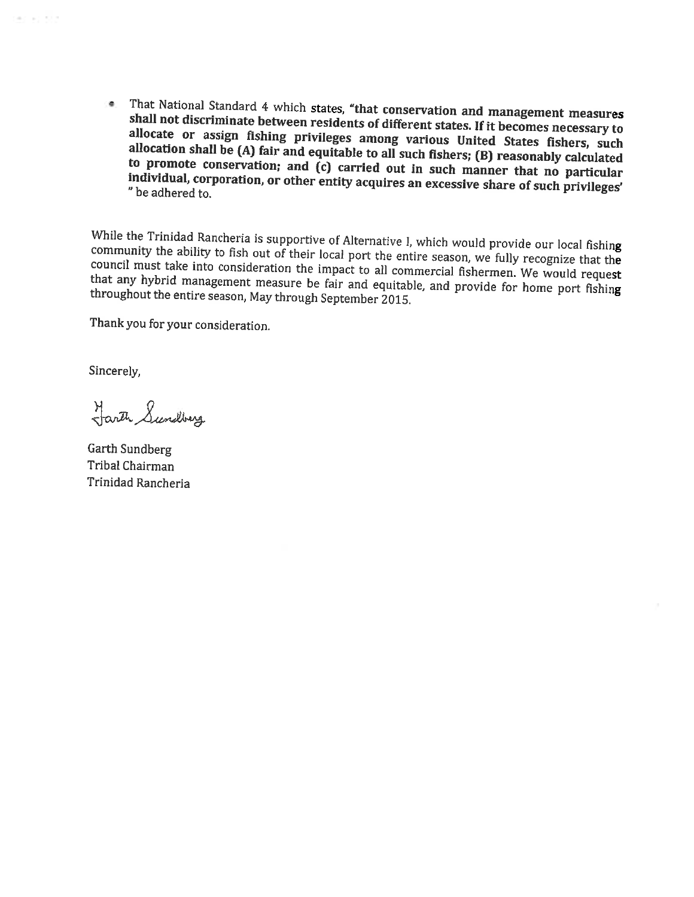That National Standard 4 which states, "that conservation and management measures  $\bullet$ shall not discriminate between residents of different states. If it becomes necessary to allocate or assign fishing privileges among various United States fishers, such allocation shall be (A) fair and equitable to all such fishers; (B) reasonably calculated to promote conservation; and (c) carried out in such manner that no particular individual, corporation, or other entity acquires an excessive share of such privileges' " be adhered to.

While the Trinidad Rancheria is supportive of Alternative I, which would provide our local fishing community the ability to fish out of their local port the entire season, we fully recognize that the council must take into consideration the impact to all commercial fishermen. We would request that any hybrid management measure be fair and equitable, and provide for home port fishing throughout the entire season, May through September 2015.

Thank you for your consideration.

Sincerely,

47.62.523

Harth Sundberg

Garth Sundberg Tribal Chairman Trinidad Rancheria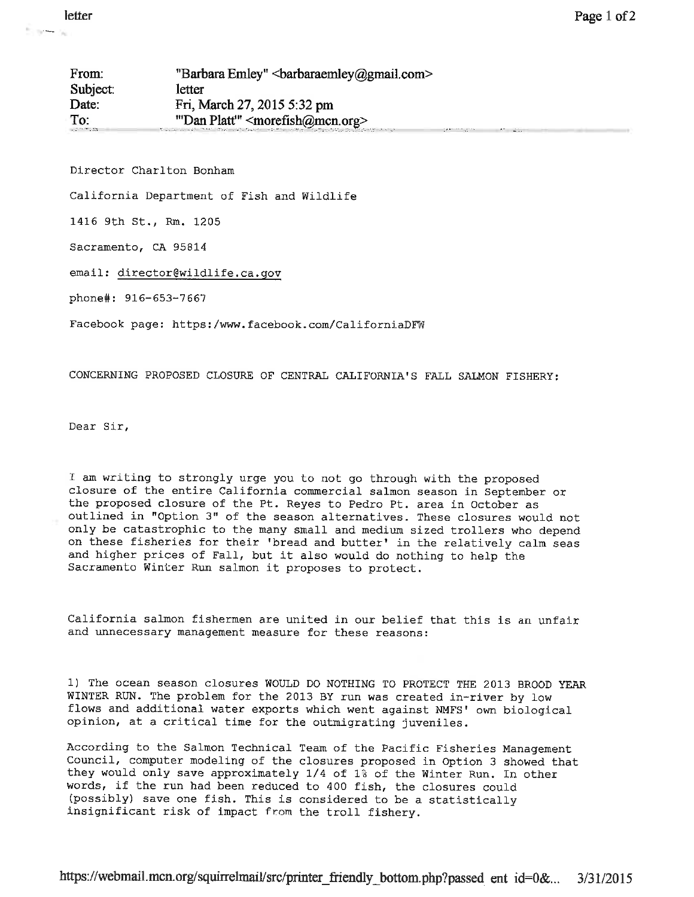| From:     | "Barbara Emley"<br>barbaraemley@gmail.com>                                                           |
|-----------|------------------------------------------------------------------------------------------------------|
| Subject:  | letter                                                                                               |
| Date:     | Fri, March 27, 2015 5:32 pm                                                                          |
| To:       | "Dan Platt" <morefish@mcn.org></morefish@mcn.org>                                                    |
| US A MOSS | A LOCAL AREA THE CONSTRUCTION ON A SERVICE STATE OF THE CONSTRUCTION OF THE CONSTRUCTION OF A STRUCT |

Director Charlton Bonham

California Department of Fish and Wildlife

1416 9th St., Rm. 1205

Sacramento, CA 95814

email: director@wildlife.ca.gov

phone#: 916-653-7667

Facebook page: https:/www.facebook.com/CaliforniaDFW

CONCERNING PROPOSED CLOSURE OF CENTRAL CALIFORNIA'S FALL SALMON FISHERY:

Dear Sir,

I am writing to strongly urge you to not go through with the proposed closure of the entire California commercial salmon season in September or the proposed closure of the Pt. Reyes to Pedro Pt. area in October as outlined in "Option 3" of the season alternatives. These closures would not only be catastrophic to the many small and medium sized trollers who depend on these fisheries for their 'bread and butter' in the relatively calm seas and higher prices of Fall, but it also would do nothing to help the Sacramento Winter Run salmon it proposes to protect.

California salmon fishermen are united in our belief that this is an unfair and unnecessary management measure for these reasons:

1) The ocean season closures WOULD DO NOTHING TO PROTECT THE 2013 BROOD YEAR WINTER RUN. The problem for the 2013 BY run was created in-river by low flows and additional water exports which went against NMFS' own biological opinion, at a critical time for the outmigrating juveniles.

According to the Salmon Technical Team of the Pacific Fisheries Management Council, computer modeling of the closures proposed in Option 3 showed that they would only save approximately 1/4 of 1% of the Winter Run. In other words, if the run had been reduced to 400 fish, the closures could (possibly) save one fish. This is considered to be a statistically insignificant risk of impact from the troll fishery.